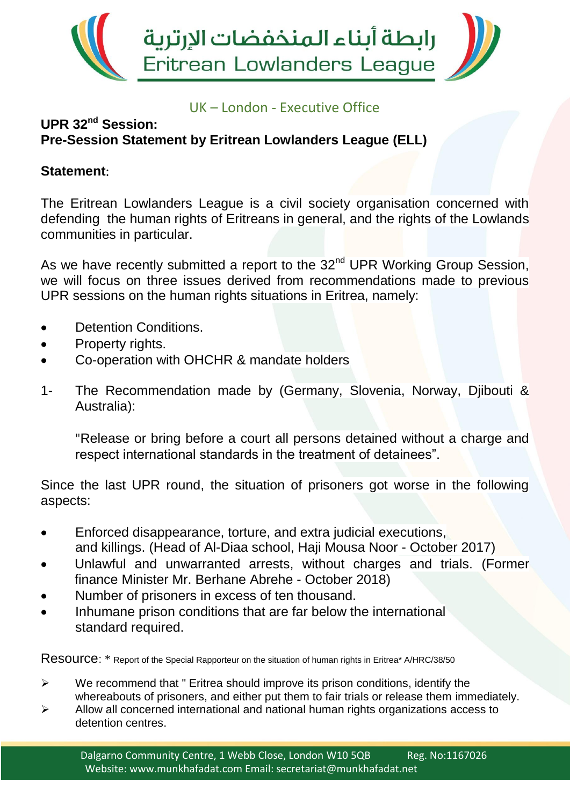

## UK – London - Executive Office

## **UPR 32nd Session: Pre-Session Statement by Eritrean Lowlanders League (ELL)**

## **Statement**:

The Eritrean Lowlanders League is a civil society organisation concerned with defending the human rights of Eritreans in general, and the rights of the Lowlands communities in particular.

As we have recently submitted a report to the 32<sup>nd</sup> UPR Working Group Session, we will focus on three issues derived from recommendations made to previous UPR sessions on the human rights situations in Eritrea, namely:

- Detention Conditions.
- Property rights.
- Co-operation with OHCHR & mandate holders
- 1- The Recommendation made by (Germany, Slovenia, Norway, Djibouti & Australia):

"Release or bring before a court all persons detained without a charge and respect international standards in the treatment of detainees".

Since the last UPR round, the situation of prisoners got worse in the following aspects:

- Enforced disappearance, torture, and extra judicial executions, and killings. (Head of Al-Diaa school, Haji Mousa Noor - October 2017)
- Unlawful and unwarranted arrests, without charges and trials. (Former finance Minister Mr. Berhane Abrehe - October 2018)
- Number of prisoners in excess of ten thousand.
- Inhumane prison conditions that are far below the international standard required.

Resource: \* Report of the Special Rapporteur on the situation of human rights in Eritrea\* A/HRC/38/50

- $\triangleright$  We recommend that " Eritrea should improve its prison conditions, identify the whereabouts of prisoners, and either put them to fair trials or release them immediately.
- $\triangleright$  Allow all concerned international and national human rights organizations access to detention centres.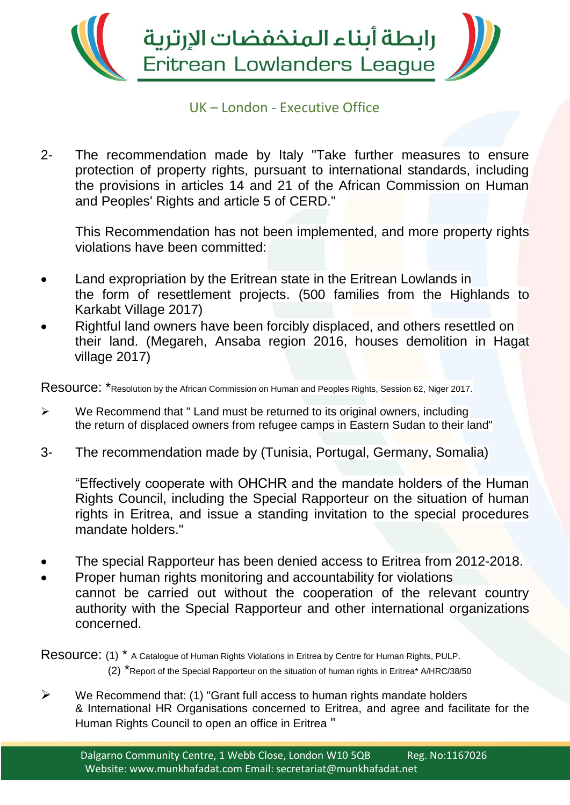

## UK – London - Executive Office

2- The recommendation made by Italy "Take further measures to ensure protection of property rights, pursuant to international standards, including the provisions in articles 14 and 21 of the African Commission on Human and Peoples' Rights and article 5 of CERD."

This Recommendation has not been implemented, and more property rights violations have been committed:

- Land expropriation by the Eritrean state in the Eritrean Lowlands in the form of resettlement projects. (500 families from the Highlands to Karkabt Village 2017)
- Rightful land owners have been forcibly displaced, and others resettled on their land. (Megareh, Ansaba region 2016, houses demolition in Hagat village 2017)

Resource: \*Resolution by the African Commission on Human and Peoples Rights, Session 62, Niger 2017.

- $\triangleright$  We Recommend that " Land must be returned to its original owners, including the return of displaced owners from refugee camps in Eastern Sudan to their land"
- 3- The recommendation made by (Tunisia, Portugal, Germany, Somalia)

"Effectively cooperate with OHCHR and the mandate holders of the Human Rights Council, including the Special Rapporteur on the situation of human rights in Eritrea, and issue a standing invitation to the special procedures mandate holders."

- The special Rapporteur has been denied access to Eritrea from 2012-2018.
- Proper human rights monitoring and accountability for violations cannot be carried out without the cooperation of the relevant country authority with the Special Rapporteur and other international organizations concerned.

Resource: (1) \* A Catalogue of Human Rights Violations in Eritrea by Centre for Human Rights, PULP. (2) \*Report of the Special Rapporteur on the situation of human rights in Eritrea\* A/HRC/38/50

 $\triangleright$  We Recommend that: (1) "Grant full access to human rights mandate holders & International HR Organisations concerned to Eritrea, and agree and facilitate for the Human Rights Council to open an office in Eritrea "